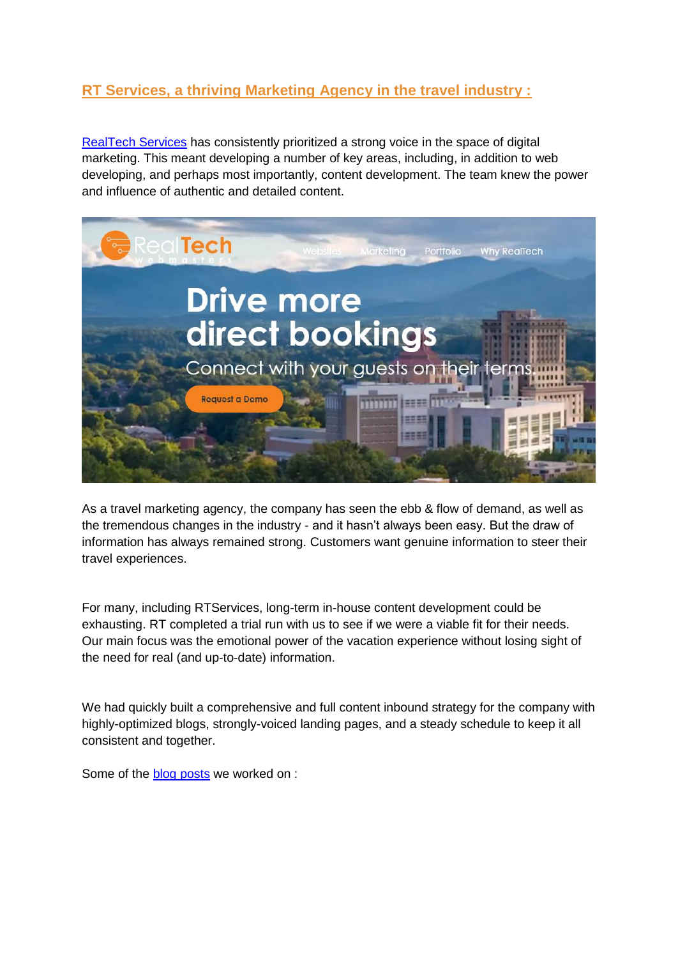## **RT Services, a thriving Marketing Agency in the travel industry :**

[RealTech Services](https://www.rtservices.net/category/client-testimonials/) has consistently prioritized a strong voice in the space of digital marketing. This meant developing a number of key areas, including, in addition to web developing, and perhaps most importantly, content development. The team knew the power and influence of authentic and detailed content.



As a travel marketing agency, the company has seen the ebb & flow of demand, as well as the tremendous changes in the industry - and it hasn't always been easy. But the draw of information has always remained strong. Customers want genuine information to steer their travel experiences.

For many, including RTServices, long-term in-house content development could be exhausting. RT completed a trial run with us to see if we were a viable fit for their needs. Our main focus was the emotional power of the vacation experience without losing sight of the need for real (and up-to-date) information.

We had quickly built a comprehensive and full content inbound strategy for the company with highly-optimized blogs, strongly-voiced landing pages, and a steady schedule to keep it all consistent and together.

Some of the **blog posts** we worked on :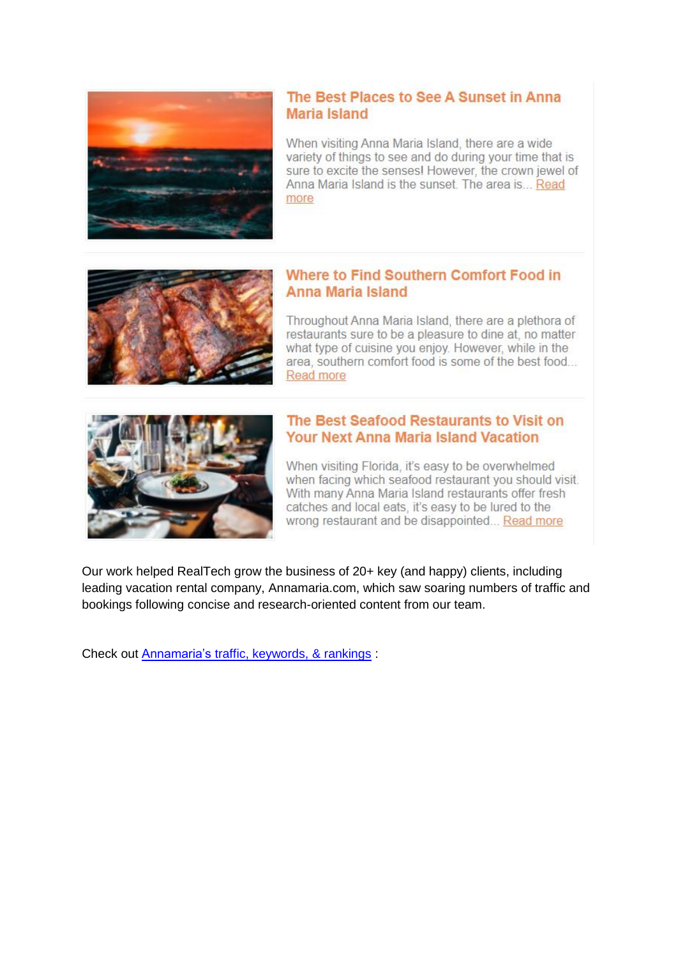

## The Best Places to See A Sunset in Anna **Maria Island**

When visiting Anna Maria Island, there are a wide variety of things to see and do during your time that is sure to excite the senses! However, the crown jewel of Anna Maria Island is the sunset. The area is... Read more



## Where to Find Southern Comfort Food in **Anna Maria Island**

Throughout Anna Maria Island, there are a plethora of restaurants sure to be a pleasure to dine at, no matter what type of cuisine you enjoy. However, while in the area, southern comfort food is some of the best food... Read more



## The Best Seafood Restaurants to Visit on **Your Next Anna Maria Island Vacation**

When visiting Florida, it's easy to be overwhelmed when facing which seafood restaurant you should visit. With many Anna Maria Island restaurants offer fresh catches and local eats, it's easy to be lured to the wrong restaurant and be disappointed... Read more

Our work helped RealTech grow the business of 20+ key (and happy) clients, including leading vacation rental company, Annamaria.com, which saw soaring numbers of traffic and bookings following concise and research-oriented content from our team.

Check out [Annamaria's traffic, keywords, & rankings](https://app.neilpatel.com/en/traffic_analyzer/overview?domain=annamariavacations.com&lang=en&locId=2840) :